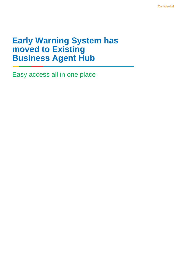## **Early Warning System has moved to Existing Business Agent Hub**

Easy access all in one place